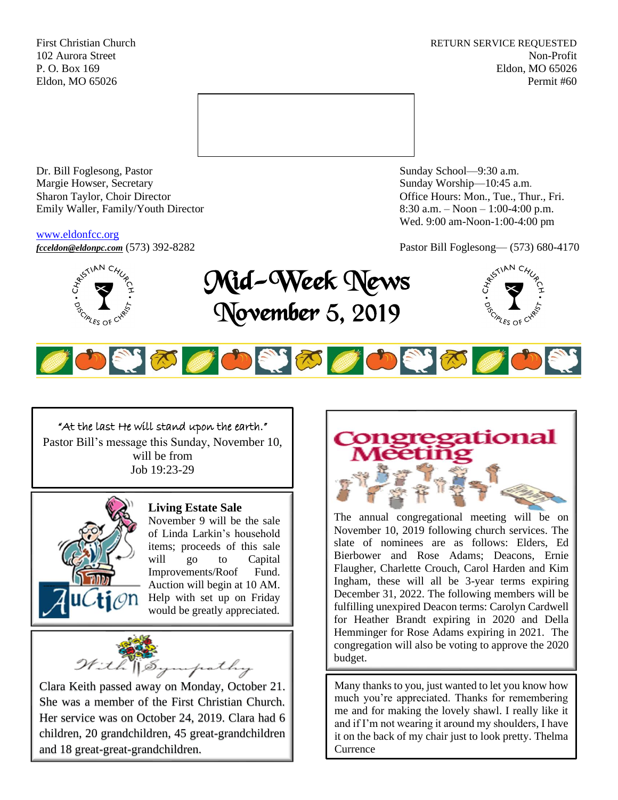First Christian Church **RETURN SERVICE REQUESTED** 102 Aurora Street Non-Profit P. O. Box 169 Eldon, MO 65026 Eldon, MO 65026 Permit #60



Dr. Bill Foglesong, Pastor Sunday School—9:30 a.m.<br>
Margie Howser, Secretary Sunday Worship—10:45 a. Sharon Taylor, Choir Director **Channel Controllering Controllering Controllering Controllering Controllering Controllering Controllering Controllering Controllering Controllering Controllering Controllering Controllering C** Emily Waller, Family/Youth Director 8:30 a.m. – Noon – 1:00-4:00 p.m.

#### [www.eldonfcc.org](http://www.eldonfcc.org/)

Sunday Worship—10:45 a.m. Wed. 9:00 am-Noon-1:00-4:00 pm

ALES OF





OSTO OSTO OSTO



The annual congregational meeting will be on November 10, 2019 following church services. The slate of nominees are as follows: Elders, Ed Bierbower and Rose Adams; Deacons, Ernie Flaugher, Charlette Crouch, Carol Harden and Kim Ingham, these will all be 3-year terms expiring December 31, 2022. The following members will be fulfilling unexpired Deacon terms: Carolyn Cardwell for Heather Brandt expiring in 2020 and Della Hemminger for Rose Adams expiring in 2021. The congregation will also be voting to approve the 2020 budget.

Many thanks to you, just wanted to let you know how much you're appreciated. Thanks for remembering me and for making the lovely shawl. I really like it and if I'm not wearing it around my shoulders, I have it on the back of my chair just to look pretty. Thelma **Currence** 

# "At the last He will stand upon the earth."

Pastor Bill's message this Sunday, November 10, will be from Job 19:23-29



#### **Living Estate Sale**

November 9 will be the sale of Linda Larkin's household items; proceeds of this sale will go to Capital Improvements/Roof Fund. Auction will begin at 10 AM. Help with set up on Friday would be greatly appreciated.



Clara Keith passed away on Monday, October 21. She was a member of the First Christian Church. Her service was on October 24, 2019. Clara had 6 children, 20 grandchildren, 45 great-grandchildren and 18 great-great-grandchildren.